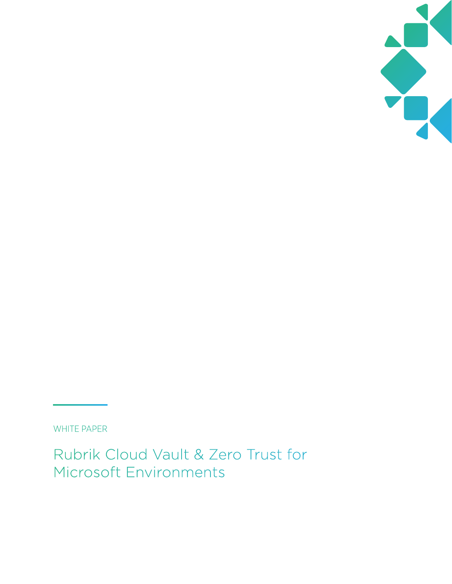

WHITE PAPER

Rubrik Cloud Vault & Zero Trust for Microsoft Environments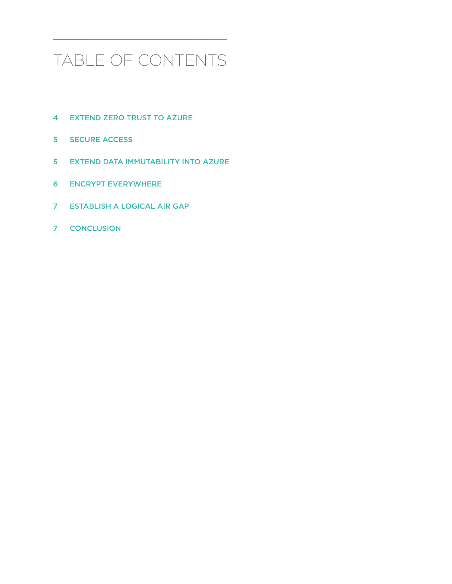# TABLE OF CONTENTS

- [EXTEND ZERO TRUST TO AZURE](#page-3-0)
- [SECURE ACCESS](#page-4-0)
- [EXTEND DATA IMMUTABILITY INTO AZURE](#page-4-0)
- [ENCRYPT EVERYWHERE](#page-5-0)
- [ESTABLISH A LOGICAL AIR GAP](#page-6-0)
- [CONCLUSION](#page-6-0)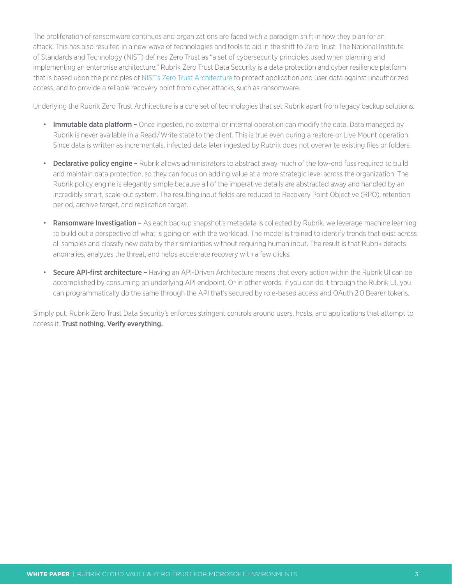The proliferation of ransomware continues and organizations are faced with a paradigm shift in how they plan for an attack. This has also resulted in a new wave of technologies and tools to aid in the shift to Zero Trust. The National Institute of Standards and Technology (NIST) defines Zero Trust as "a set of cybersecurity principles used when planning and implementing an enterprise architecture." Rubrik Zero Trust Data Security is a data protection and cyber resilience platform that is based upon the principles of [NIST's Zero Trust Architecture](https://www.nist.gov/publications/zero-trust-architecture) to protect application and user data against unauthorized access, and to provide a reliable recovery point from cyber attacks, such as ransomware.

Underlying the Rubrik Zero Trust Architecture is a core set of technologies that set Rubrik apart from legacy backup solutions.

- Immutable data platform Once ingested, no external or internal operation can modify the data. Data managed by Rubrik is never available in a Read/Write state to the client. This is true even during a restore or Live Mount operation. Since data is written as incrementals, infected data later ingested by Rubrik does not overwrite existing files or folders.
- Declarative policy engine Rubrik allows administrators to abstract away much of the low-end fuss required to build and maintain data protection, so they can focus on adding value at a more strategic level across the organization. The Rubrik policy engine is elegantly simple because all of the imperative details are abstracted away and handled by an incredibly smart, scale-out system. The resulting input fields are reduced to Recovery Point Objective (RPO), retention period, archive target, and replication target.
- Ransomware Investigation As each backup snapshot's metadata is collected by Rubrik, we leverage machine learning to build out a perspective of what is going on with the workload. The model is trained to identify trends that exist across all samples and classify new data by their similarities without requiring human input. The result is that Rubrik detects anomalies, analyzes the threat, and helps accelerate recovery with a few clicks.
- **Secure API-first architecture –** Having an API-Driven Architecture means that every action within the Rubrik UI can be accomplished by consuming an underlying API endpoint. Or in other words, if you can do it through the Rubrik UI, you can programmatically do the same through the API that's secured by role-based access and OAuth 2.0 Bearer tokens.

Simply put, Rubrik Zero Trust Data Security's enforces stringent controls around users, hosts, and applications that attempt to access it. Trust nothing. Verify everything.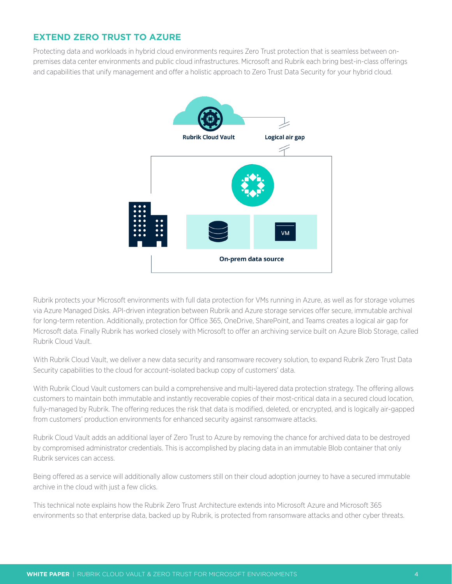# <span id="page-3-0"></span>**EXTEND ZERO TRUST TO AZURE**

Protecting data and workloads in hybrid cloud environments requires Zero Trust protection that is seamless between onpremises data center environments and public cloud infrastructures. Microsoft and Rubrik each bring best-in-class offerings and capabilities that unify management and offer a holistic approach to Zero Trust Data Security for your hybrid cloud.



Rubrik protects your Microsoft environments with full data protection for VMs running in Azure, as well as for storage volumes via Azure Managed Disks. API-driven integration between Rubrik and Azure storage services offer secure, immutable archival for long-term retention. Additionally, protection for Office 365, OneDrive, SharePoint, and Teams creates a logical air gap for Microsoft data. Finally Rubrik has worked closely with Microsoft to offer an archiving service built on Azure Blob Storage, called Rubrik Cloud Vault.

With Rubrik Cloud Vault, we deliver a new data security and ransomware recovery solution, to expand Rubrik Zero Trust Data Security capabilities to the cloud for account-isolated backup copy of customers' data.

With Rubrik Cloud Vault customers can build a comprehensive and multi-layered data protection strategy. The offering allows customers to maintain both immutable and instantly recoverable copies of their most-critical data in a secured cloud location, fully-managed by Rubrik. The offering reduces the risk that data is modified, deleted, or encrypted, and is logically air-gapped from customers' production environments for enhanced security against ransomware attacks.

Rubrik Cloud Vault adds an additional layer of Zero Trust to Azure by removing the chance for archived data to be destroyed by compromised administrator credentials. This is accomplished by placing data in an immutable Blob container that only Rubrik services can access.

Being offered as a service will additionally allow customers still on their cloud adoption journey to have a secured immutable archive in the cloud with just a few clicks.

This technical note explains how the Rubrik Zero Trust Architecture extends into Microsoft Azure and Microsoft 365 environments so that enterprise data, backed up by Rubrik, is protected from ransomware attacks and other cyber threats.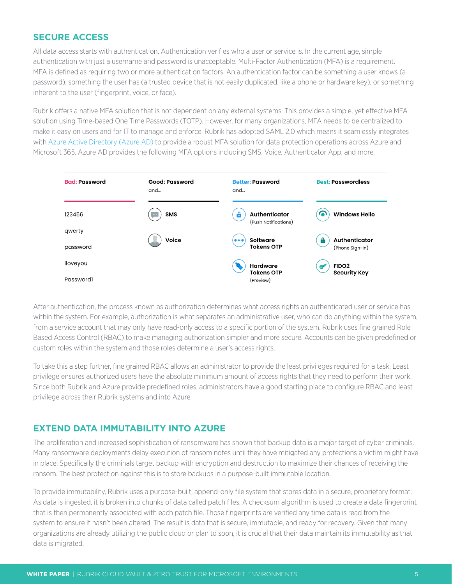## <span id="page-4-0"></span>**SECURE ACCESS**

All data access starts with authentication. Authentication verifies who a user or service is. In the current age, simple authentication with just a username and password is unacceptable. Multi-Factor Authentication (MFA) is a requirement. MFA is defined as requiring two or more authentication factors. An authentication factor can be something a user knows (a password), something the user has (a trusted device that is not easily duplicated, like a phone or hardware key), or something inherent to the user (fingerprint, voice, or face).

Rubrik offers a native MFA solution that is not dependent on any external systems. This provides a simple, yet effective MFA solution using Time-based One Time Passwords (TOTP). However, for many organizations, MFA needs to be centralized to make it easy on users and for IT to manage and enforce. Rubrik has adopted SAML 2.0 which means it seamlessly integrates with [Azure Active Directory \(Azure AD\)](https://azure.microsoft.com/en-us/services/active-directory/) to provide a robust MFA solution for data protection operations across Azure and Microsoft 365. Azure AD provides the following MFA options including SMS, Voice, Authenticator App, and more.



After authentication, the process known as authorization determines what access rights an authenticated user or service has within the system. For example, authorization is what separates an administrative user, who can do anything within the system, from a service account that may only have read-only access to a specific portion of the system. Rubrik uses fine grained Role Based Access Control (RBAC) to make managing authorization simpler and more secure. Accounts can be given predefined or custom roles within the system and those roles determine a user's access rights.

To take this a step further, fine grained RBAC allows an administrator to provide the least privileges required for a task. Least privilege ensures authorized users have the absolute minimum amount of access rights that they need to perform their work. Since both Rubrik and Azure provide predefined roles, administrators have a good starting place to configure RBAC and least privilege across their Rubrik systems and into Azure.

#### **EXTEND DATA IMMUTABILITY INTO AZURE**

The proliferation and increased sophistication of ransomware has shown that backup data is a major target of cyber criminals. Many ransomware deployments delay execution of ransom notes until they have mitigated any protections a victim might have in place. Specifically the criminals target backup with encryption and destruction to maximize their chances of receiving the ransom. The best protection against this is to store backups in a purpose-built immutable location.

To provide immutability, Rubrik uses a purpose-built, append-only file system that stores data in a secure, proprietary format. As data is ingested, it is broken into chunks of data called patch files. A checksum algorithm is used to create a data fingerprint that is then permanently associated with each patch file. Those fingerprints are verified any time data is read from the system to ensure it hasn't been altered. The result is data that is secure, immutable, and ready for recovery. Given that many organizations are already utilizing the public cloud or plan to soon, it is crucial that their data maintain its immutability as that data is migrated.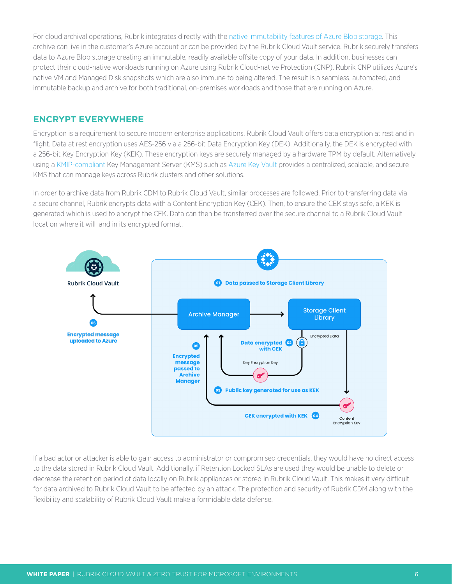<span id="page-5-0"></span>For cloud archival operations, Rubrik integrates directly with the [native immutability features of Azure Blob storage.](https://docs.microsoft.com/en-us/azure/storage/blobs/immutable-storage-overview) This archive can live in the customer's Azure account or can be provided by the Rubrik Cloud Vault service. Rubrik securely transfers data to Azure Blob storage creating an immutable, readily available offsite copy of your data. In addition, businesses can protect their cloud-native workloads running on Azure using Rubrik Cloud-native Protection (CNP). Rubrik CNP utilizes Azure's native VM and Managed Disk snapshots which are also immune to being altered. The result is a seamless, automated, and immutable backup and archive for both traditional, on-premises workloads and those that are running on Azure.

# **ENCRYPT EVERYWHERE**

Encryption is a requirement to secure modern enterprise applications. Rubrik Cloud Vault offers data encryption at rest and in flight. Data at rest encryption uses AES-256 via a 256-bit Data Encryption Key (DEK). Additionally, the DEK is encrypted with a 256-bit Key Encryption Key (KEK). These encryption keys are securely managed by a hardware TPM by default. Alternatively, using a [KMIP-compliant](https://en.wikipedia.org/wiki/Key_Management_Interoperability_Protocol) Key Management Server (KMS) such as [Azure Key Vault](https://docs.microsoft.com/en-us/azure/key-vault/general/basic-concepts) provides a centralized, scalable, and secure KMS that can manage keys across Rubrik clusters and other solutions.

In order to archive data from Rubrik CDM to Rubrik Cloud Vault, similar processes are followed. Prior to transferring data via a secure channel, Rubrik encrypts data with a Content Encryption Key (CEK). Then, to ensure the CEK stays safe, a KEK is generated which is used to encrypt the CEK. Data can then be transferred over the secure channel to a Rubrik Cloud Vault location where it will land in its encrypted format.



If a bad actor or attacker is able to gain access to administrator or compromised credentials, they would have no direct access to the data stored in Rubrik Cloud Vault. Additionally, if Retention Locked SLAs are used they would be unable to delete or decrease the retention period of data locally on Rubrik appliances or stored in Rubrik Cloud Vault. This makes it very difficult for data archived to Rubrik Cloud Vault to be affected by an attack. The protection and security of Rubrik CDM along with the flexibility and scalability of Rubrik Cloud Vault make a formidable data defense.